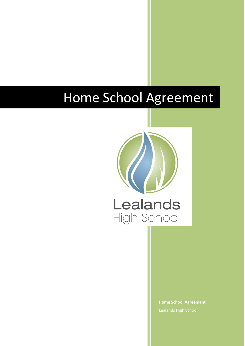# Home School Agreement



**Home School Agreement** Lealands High School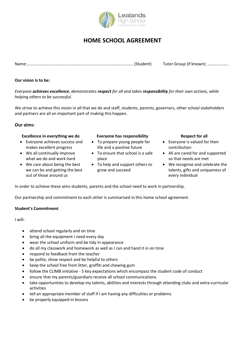

# **HOME SCHOOL AGREEMENT**

Name:………………………………………………………………………………………… (Student) Tutor Group (if known): ………………..

**Our vision is to be:**

*Everyone achieves excellence, demonstrates respect for all and takes responsibility for their own actions, while helping others to be successful.*

We strive to achieve this vision in all that we do and staff, students, parents, governors, other school stakeholders and partners are all an important part of making this happen.

**Our aims:**

# **Excellence in everything we do Everyone has responsibility Respect for all**

- Everyone achieves success and makes excellent progress
- We all continually improve what we do and work hard
- We care about being the best we can be and getting the best out of those around us

- To prepare young people for life and a positive future
- To ensure that school is a safe place
- To help and support others to grow and succeed

- Everyone is valued for their contribution
- All are cared for and supported so that needs are met
- We recognise and celebrate the talents, gifts and uniqueness of every individual

In order to achieve these aims students, parents and the school need to work in partnership.

Our partnership and commitment to each other is summarised in this home school agreement.

# **Student's Commitment**

I will:

- attend school regularly and on time
- bring all the equipment I need every day
- wear the school uniform and be tidy in appearance
- do all my classwork and homework as well as I can and hand it in on time
- respond to feedback from the teacher
- be polite, show respect and be helpful to others
- keep the school free from litter, graffiti and chewing gum
- follow the CLIMB initiative 5 key expectations which encompass the student code of conduct
- ensure that my parents/guardians receive all school communications
- take opportunities to develop my talents, abilities and interests through attending clubs and extra-curricular activities
- tell an appropriate member of staff if I am having any difficulties or problems
- be properly equipped in lessons